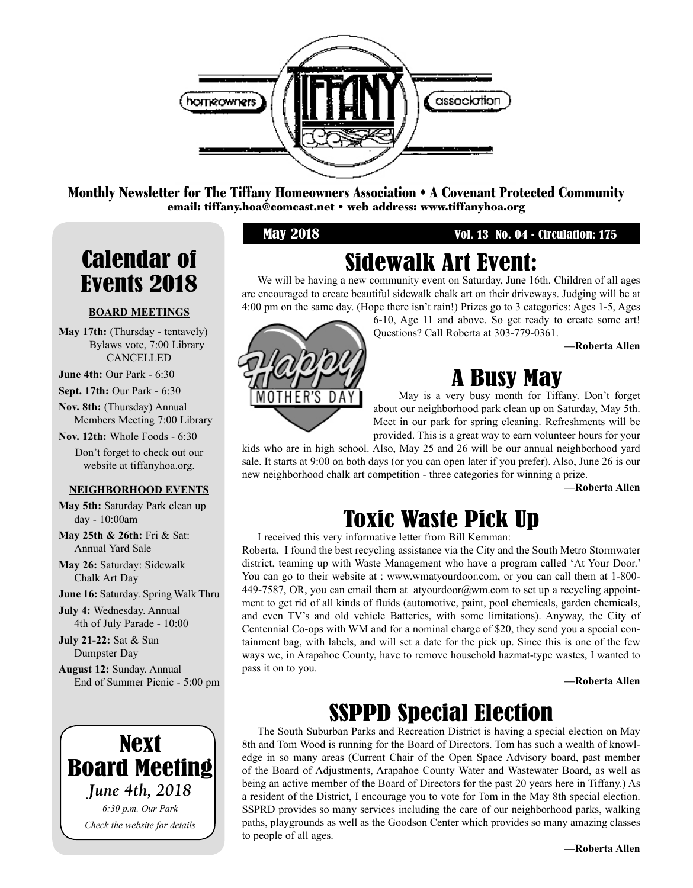

Monthly Newsletter for The Tiffany Homeowners Association • A Covenant Protected Community email: tiffany.hoa@comcast.net • web address: www.tiffanyhoa.org

May 2018 Vol. 13 No. 04 • Circulation: 175

## Calendar of Events 2018

#### **BOARD MEETINGS**

May 17th: (Thursday - tentavely) Bylaws vote, 7:00 Library CANCELLED

**June 4th:** Our Park - 6:30

**Sept. 17th:** Our Park - 6:30

**Nov. 8th:** (Thursday) Annual Members Meeting 7:00 Library

**Nov. 12th:** Whole Foods - 6:30

Don't forget to check out our website at tiffanyhoa.org.

#### **NEIGHBORHOOD EVENTS**

**May 5th:** Saturday Park clean up day - 10:00am

**May 25th & 26th:** Fri & Sat: Annual Yard Sale

**May 26:** Saturday: Sidewalk Chalk Art Day

**June 16:** Saturday. Spring Walk Thru

**July 4:** Wednesday. Annual 4th of July Parade - 10:00

**July 21-22:** Sat & Sun Dumpster Day

**August 12:** Sunday. Annual End of Summer Picnic - 5:00 pm



## Sidewalk Art Event:

We will be having a new community event on Saturday, June 16th. Children of all ages are encouraged to create beautiful sidewalk chalk art on their driveways. Judging will be at 4:00 pm on the same day. (Hope there isn't rain!) Prizes go to 3 categories: Ages 1-5, Ages

OTHER'S Ð

6-10, Age 11 and above. So get ready to create some art! Questions? Call Roberta at 303-779-0361.

**—Roberta Allen**

## A Busy May

May is a very busy month for Tiffany. Don't forget about our neighborhood park clean up on Saturday, May 5th. Meet in our park for spring cleaning. Refreshments will be provided. This is a great way to earn volunteer hours for your

kids who are in high school. Also, May 25 and 26 will be our annual neighborhood yard sale. It starts at 9:00 on both days (or you can open later if you prefer). Also, June 26 is our new neighborhood chalk art competition - three categories for winning a prize.

**—Roberta Allen**

## Toxic Waste Pick Up

I received this very informative letter from Bill Kemman:

Roberta, I found the best recycling assistance via the City and the South Metro Stormwater district, teaming up with Waste Management who have a program called 'At Your Door.' You can go to their website at : www.wmatyourdoor.com, or you can call them at 1-800- 449-7587, OR, you can email them at atyourdoor@wm.com to set up a recycling appointment to get rid of all kinds of fluids (automotive, paint, pool chemicals, garden chemicals, and even TV's and old vehicle Batteries, with some limitations). Anyway, the City of Centennial Co-ops with WM and for a nominal charge of \$20, they send you a special containment bag, with labels, and will set a date for the pick up. Since this is one of the few ways we, in Arapahoe County, have to remove household hazmat-type wastes, I wanted to pass it on to you.

**—Roberta Allen**

## SSPPD Special Election

The South Suburban Parks and Recreation District is having a special election on May 8th and Tom Wood is running for the Board of Directors. Tom has such a wealth of knowledge in so many areas (Current Chair of the Open Space Advisory board, past member of the Board of Adjustments, Arapahoe County Water and Wastewater Board, as well as being an active member of the Board of Directors for the past 20 years here in Tiffany.) As a resident of the District, I encourage you to vote for Tom in the May 8th special election. SSPRD provides so many services including the care of our neighborhood parks, walking paths, playgrounds as well as the Goodson Center which provides so many amazing classes to people of all ages.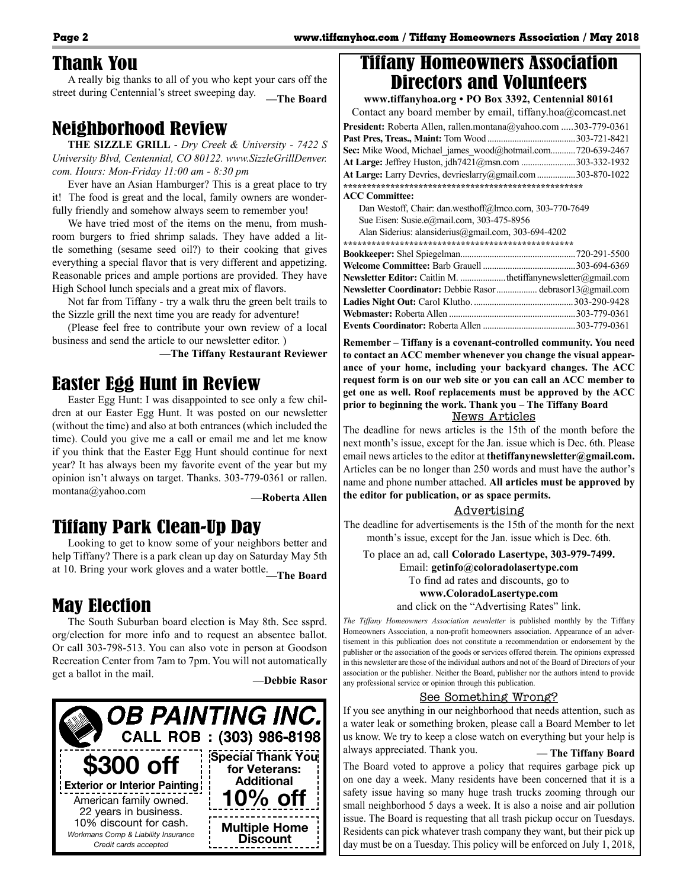#### Thank You

A really big thanks to all of you who kept your cars off the street during Centennial's street sweeping day. **—The Board**

#### Neighborhood Review

**THE SIZZLE GRILL** - *Dry Creek & University - 7422 S University Blvd, Centennial, CO 80122. www.SizzleGrillDenver. com. Hours: Mon-Friday 11:00 am - 8:30 pm*

Ever have an Asian Hamburger? This is a great place to try it! The food is great and the local, family owners are wonderfully friendly and somehow always seem to remember you!

We have tried most of the items on the menu, from mushroom burgers to fried shrimp salads. They have added a little something (sesame seed oil?) to their cooking that gives everything a special flavor that is very different and appetizing. Reasonable prices and ample portions are provided. They have High School lunch specials and a great mix of flavors.

Not far from Tiffany - try a walk thru the green belt trails to the Sizzle grill the next time you are ready for adventure!

(Please feel free to contribute your own review of a local business and send the article to our newsletter editor. )

**—The Tiffany Restaurant Reviewer**

### Easter Egg Hunt in Review

Easter Egg Hunt: I was disappointed to see only a few children at our Easter Egg Hunt. It was posted on our newsletter (without the time) and also at both entrances (which included the time). Could you give me a call or email me and let me know if you think that the Easter Egg Hunt should continue for next year? It has always been my favorite event of the year but my opinion isn't always on target. Thanks. 303-779-0361 or rallen. montana@yahoo.com **—Roberta Allen**

#### Tiffany Park Clean-Up Day

Looking to get to know some of your neighbors better and help Tiffany? There is a park clean up day on Saturday May 5th at 10. Bring your work gloves and a water bottle.**—The Board**

#### May Election

The South Suburban board election is May 8th. See ssprd. org/election for more info and to request an absentee ballot. Or call 303-798-513. You can also vote in person at Goodson Recreation Center from 7am to 7pm. You will not automatically get a ballot in the mail. **—Debbie Rasor**





#### Tiffany Homeowners Association Directors and Volunteers

**www.tiffanyhoa.org • PO Box 3392, Centennial 80161** Contact any board member by email, tiffany.hoa@comcast.net **President:** Roberta Allen, rallen.montana@yahoo.com .....303-779-0361 **Past Pres, Treas., Maint:** Tom Wood .......................................303-721-8421

| Sec: Mike Wood, Michael james wood@hotmail.com720-639-2467          |  |
|---------------------------------------------------------------------|--|
| <b>At Large:</b> Jeffrey Huston, jdh7421@msn.com 303-332-1932       |  |
| <b>At Large:</b> Larry Devries, devrieslarry@gmail.com 303-870-1022 |  |
|                                                                     |  |
| <b>ACC Committee:</b>                                               |  |

Dan Westoff, Chair: dan.westhoff@lmco.com, 303-770-7649 Sue Eisen: Susie.e@mail.com, 303-475-8956

| Alan Siderius: alansiderius@gmail.com, 303-694-4202 |  |
|-----------------------------------------------------|--|
|-----------------------------------------------------|--|

| <b>Newsletter Editor:</b> Caitlin M. thetiffanynewsletter@gmail.com |  |
|---------------------------------------------------------------------|--|
| Newsletter Coordinator: Debbie Rasordebrasor13@gmail.com            |  |
|                                                                     |  |
|                                                                     |  |
|                                                                     |  |

**Remember – Tiffany is a covenant-controlled community. You need to contact an ACC member whenever you change the visual appearance of your home, including your backyard changes. The ACC request form is on our web site or you can call an ACC member to get one as well. Roof replacements must be approved by the ACC prior to beginning the work. Thank you – The Tiffany Board**

News Articles

The deadline for news articles is the 15th of the month before the next month's issue, except for the Jan. issue which is Dec. 6th. Please email news articles to the editor at **thetiffanynewsletter@gmail.com.** Articles can be no longer than 250 words and must have the author's name and phone number attached. **All articles must be approved by the editor for publication, or as space permits.** 

#### Advertising

The deadline for advertisements is the 15th of the month for the next month's issue, except for the Jan. issue which is Dec. 6th.

To place an ad, call **Colorado Lasertype, 303-979-7499.**

Email: **getinfo@coloradolasertype.com** 

To find ad rates and discounts, go to

#### **www.ColoradoLasertype.com**

and click on the "Advertising Rates" link.

*The Tiffany Homeowners Association newsletter* is published monthly by the Tiffany Homeowners Association, a non-profit homeowners association. Appearance of an advertisement in this publication does not constitute a recommendation or endorsement by the publisher or the association of the goods or services offered therein. The opinions expressed in this newsletter are those of the individual authors and not of the Board of Directors of your association or the publisher. Neither the Board, publisher nor the authors intend to provide any professional service or opinion through this publication.

#### See Something Wrong?

If you see anything in our neighborhood that needs attention, such as a water leak or something broken, please call a Board Member to let us know. We try to keep a close watch on everything but your help is always appreciated. Thank you. **— The Tiffany Board**

The Board voted to approve a policy that requires garbage pick up on one day a week. Many residents have been concerned that it is a safety issue having so many huge trash trucks zooming through our small neighborhood 5 days a week. It is also a noise and air pollution issue. The Board is requesting that all trash pickup occur on Tuesdays. Residents can pick whatever trash company they want, but their pick up day must be on a Tuesday. This policy will be enforced on July 1, 2018,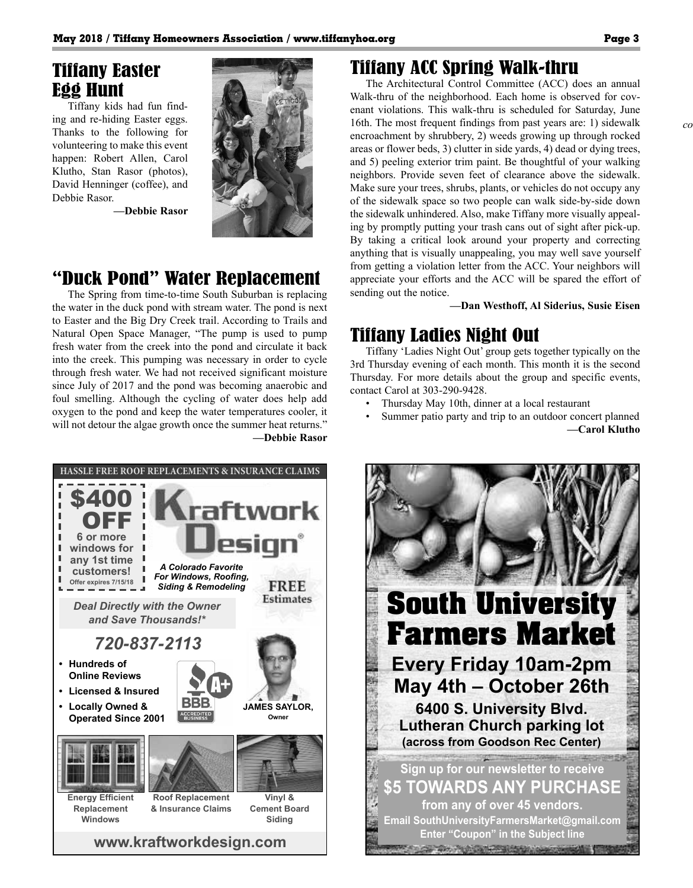#### Tiffany Easter Egg Hunt

Tiffany kids had fun finding and re-hiding Easter eggs. Thanks to the following for volunteering to make this event happen: Robert Allen, Carol Klutho, Stan Rasor (photos), David Henninger (coffee), and Debbie Rasor.

**—Debbie Rasor**



### "Duck Pond" Water Replacement

The Spring from time-to-time South Suburban is replacing the water in the duck pond with stream water. The pond is next to Easter and the Big Dry Creek trail. According to Trails and Natural Open Space Manager, "The pump is used to pump fresh water from the creek into the pond and circulate it back into the creek. This pumping was necessary in order to cycle through fresh water. We had not received significant moisture since July of 2017 and the pond was becoming anaerobic and foul smelling. Although the cycling of water does help add oxygen to the pond and keep the water temperatures cooler, it will not detour the algae growth once the summer heat returns." **—Debbie Rasor**



### Tiffany ACC Spring Walk-thru

The Architectural Control Committee (ACC) does an annual Walk-thru of the neighborhood. Each home is observed for covenant violations. This walk-thru is scheduled for Saturday, June 16th. The most frequent findings from past years are: 1) sidewalk encroachment by shrubbery, 2) weeds growing up through rocked areas or flower beds, 3) clutter in side yards, 4) dead or dying trees, and 5) peeling exterior trim paint. Be thoughtful of your walking neighbors. Provide seven feet of clearance above the sidewalk. Make sure your trees, shrubs, plants, or vehicles do not occupy any of the sidewalk space so two people can walk side-by-side down the sidewalk unhindered. Also, make Tiffany more visually appealing by promptly putting your trash cans out of sight after pick-up. By taking a critical look around your property and correcting anything that is visually unappealing, you may well save yourself from getting a violation letter from the ACC. Your neighbors will appreciate your efforts and the ACC will be spared the effort of sending out the notice.

**—Dan Westhoff, Al Siderius, Susie Eisen**

#### Tiffany Ladies Night Out

Tiffany 'Ladies Night Out' group gets together typically on the 3rd Thursday evening of each month. This month it is the second Thursday. For more details about the group and specific events, contact Carol at 303-290-9428.

- Thursday May 10th, dinner at a local restaurant
- Summer patio party and trip to an outdoor concert planned **—Carol Klutho**

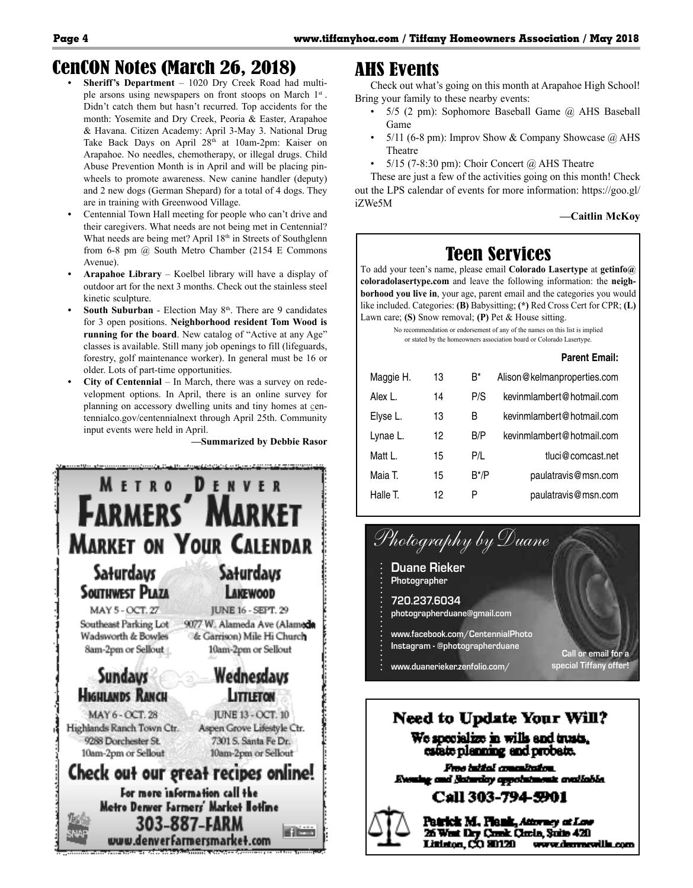### CenCON Notes (March 26, 2018)

- **• Sheriff's Department**  1020 Dry Creek Road had multiple arsons using newspapers on front stoops on March 1<sup>st</sup>. Didn't catch them but hasn't recurred. Top accidents for the month: Yosemite and Dry Creek, Peoria & Easter, Arapahoe & Havana. Citizen Academy: April 3-May 3. National Drug Take Back Days on April 28<sup>th</sup> at 10am-2pm: Kaiser on Arapahoe. No needles, chemotherapy, or illegal drugs. Child Abuse Prevention Month is in April and will be placing pinwheels to promote awareness. New canine handler (deputy) and 2 new dogs (German Shepard) for a total of 4 dogs. They are in training with Greenwood Village.
- **•** Centennial Town Hall meeting for people who can't drive and their caregivers. What needs are not being met in Centennial? What needs are being met? April 18<sup>th</sup> in Streets of Southglenn from 6-8 pm @ South Metro Chamber (2154 E Commons Avenue).
- **• Arapahoe Library** Koelbel library will have a display of outdoor art for the next 3 months. Check out the stainless steel kinetic sculpture.
- **South Suburban** Election May 8<sup>th</sup>. There are 9 candidates for 3 open positions. **Neighborhood resident Tom Wood is running for the board**. New catalog of "Active at any Age" classes is available. Still many job openings to fill (lifeguards, forestry, golf maintenance worker). In general must be 16 or older. Lots of part-time opportunities.
- **• City of Centennial** In March, there was a survey on redevelopment options. In April, there is an online survey for planning on accessory dwelling units and tiny homes at centennialco.gov/centennialnext through April 25th. Community input events were held in April.

**—Summarized by Debbie Rasor**



#### AHS Events

Check out what's going on this month at Arapahoe High School! Bring your family to these nearby events:

- 5/5 (2 pm): Sophomore Baseball Game @ AHS Baseball Game
- 5/11 (6-8 pm): Improv Show & Company Showcase  $\omega$  AHS Theatre
- 5/15 (7-8:30 pm): Choir Concert @ AHS Theatre

These are just a few of the activities going on this month! Check out the LPS calendar of events for more information: https://goo.gl/ iZWe5M

**—Caitlin McKoy**

## Teen Services

To add your teen's name, please email **Colorado Lasertype** at **getinfo@ coloradolasertype.com** and leave the following information: the **neighborhood you live in**, your age, parent email and the categories you would like included. Categories: **(B)** Babysitting; **(\*)** Red Cross Cert for CPR; **(L)** Lawn care; **(S)** Snow removal; **(P)** Pet & House sitting.

No recommendation or endorsement of any of the names on this list is implied or stated by the homeowners association board or Colorado Lasertype.

|           |    |               | <b>Parent Email:</b>        |
|-----------|----|---------------|-----------------------------|
| Maggie H. | 13 | B*            | Alison@kelmanproperties.com |
| Alex L.   | 14 | P/S           | kevinmlambert@hotmail.com   |
| Elyse L.  | 13 | В             | kevinmlambert@hotmail.com   |
| Lynae L.  | 12 | B/P           | kevinmlambert@hotmail.com   |
| Matt I    | 15 | P/L           | tluci@comcast.net           |
| Maia T.   | 15 | $B^{\star}/P$ | paulatravis@msn.com         |
| Halle T.  | 12 | P             | paulatravis@msn.com         |



#### **Need to Update Your Will?** We specialize in wills and trusts, esfate planning and probate.

Pros tatifal concultation. Evening and Saturday appointm uk malinida

#### Call 303-794-5901



Patrick M., Plank, Attorney at Law 26 West Dry Creek Chris, Suite 420 Littleton, CO 80120 www.demorallic.com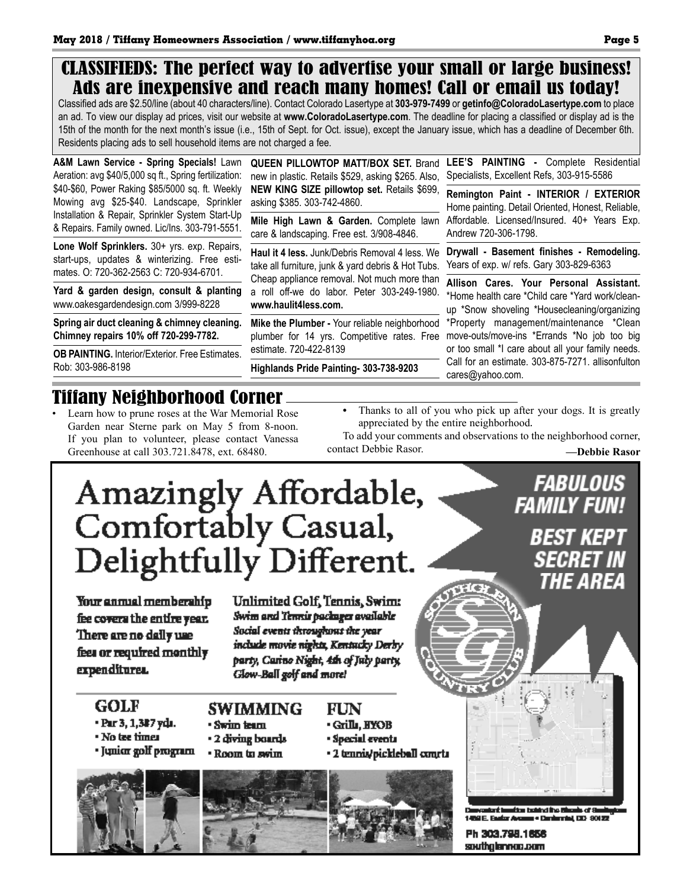### CLASSIFIEDS: The perfect way to advertise your small or large business! Ads are inexpensive and reach many homes! Call or email us today!

Classified ads are \$2.50/line (about 40 characters/line). Contact Colorado Lasertype at **303-979-7499** or **getinfo@ColoradoLasertype.com** to place an ad. To view our display ad prices, visit our website at **www.ColoradoLasertype.com**. The deadline for placing a classified or display ad is the 15th of the month for the next month's issue (i.e., 15th of Sept. for Oct. issue), except the January issue, which has a deadline of December 6th. Residents placing ads to sell household items are not charged a fee.

**A&M Lawn Service - Spring Specials!** Lawn Aeration: avg \$40/5,000 sq ft., Spring fertilization: \$40-\$60, Power Raking \$85/5000 sq. ft. Weekly Mowing avg \$25-\$40. Landscape, Sprinkler Installation & Repair, Sprinkler System Start-Up & Repairs. Family owned. Lic/Ins. 303-791-5551.

**Lone Wolf Sprinklers.** 30+ yrs. exp. Repairs, start-ups, updates & winterizing. Free estimates. O: 720-362-2563 C: 720-934-6701.

**Yard & garden design, consult & planting** www.oakesgardendesign.com 3/999-8228

**Spring air duct cleaning & chimney cleaning. Chimney repairs 10% off 720-299-7782.**

**OB PAINTING.** Interior/Exterior. Free Estimates. Rob: 303-986-8198

new in plastic. Retails \$529, asking \$265. Also, **NEW KING SIZE pillowtop set.** Retails \$699, asking \$385. 303-742-4860.

care & landscaping. Free est. 3/908-4846.

**Haul it 4 less.** Junk/Debris Removal 4 less. We take all furniture, junk & yard debris & Hot Tubs. Cheap appliance removal. Not much more than a roll off-we do labor. Peter 303-249-1980. **www.haulit4less.com.** 

**Mike the Plumber -** Your reliable neighborhood plumber for 14 yrs. Competitive rates. Free estimate. 720-422-8139

**Highlands Pride Painting- 303-738-9203**

**QUEEN PILLOWTOP MATT/BOX SET.** Brand **LEE'S PAINTING -** Complete Residential Specialists, Excellent Refs, 303-915-5586

**Mile High Lawn & Garden.** Complete lawn Affordable. Licensed/Insured. 40+ Years Exp. **Remington Paint - INTERIOR / EXTERIOR**  Home painting. Detail Oriented, Honest, Reliable, Andrew 720-306-1798.

> **Drywall - Basement finishes - Remodeling.**  Years of exp. w/ refs. Gary 303-829-6363

> **Allison Cares. Your Personal Assistant.** \*Home health care \*Child care \*Yard work/cleanup \*Snow shoveling \*Housecleaning/organizing \*Property management/maintenance \*Clean move-outs/move-ins \*Errands \*No job too big or too small \*I care about all your family needs. Call for an estimate. 303-875-7271. allisonfulton cares@yahoo.com.

## Tiffany Neighborhood Corner

- Learn how to prune roses at the War Memorial Rose Garden near Sterne park on May 5 from 8-noon. If you plan to volunteer, please contact Vanessa Greenhouse at call 303.721.8478, ext. 68480.
- **•** Thanks to all of you who pick up after your dogs. It is greatly appreciated by the entire neighborhood.
- To add your comments and observations to the neighborhood corner, contact Debbie Rasor. **—Debbie Rasor**

#### **FABULOUS** Amazingly Affordable,<br>Comfortably Casual, **FAMILY FUN!** BEST KEPT Delightfully Different. *SECRET IN* THE ARFA Your annual membership **Unlimited Golf, Tennis, Swim:** Swim and Tennis packages available fee covers the entire year. Social events throughout the year There are no daily use include movie nights, Kentucky Derby fees or required monthly party, Carino Night, 4th of July party, expenditures. Glow-Ball golf and more! **GOLF SWIMMING** FUN • Par 3, 1,3#7 yda. · Swim team • Grills, HYOB • No tee times · Special events • 2 diving boards · Junior golf program · 2 tennis/pickleball concta • Room to swim B adant boudtes taking the Blazds of 8 1459 E. Feator Account + Daniers Int 133-80122 Ph 303.798.1656 southglennac.com